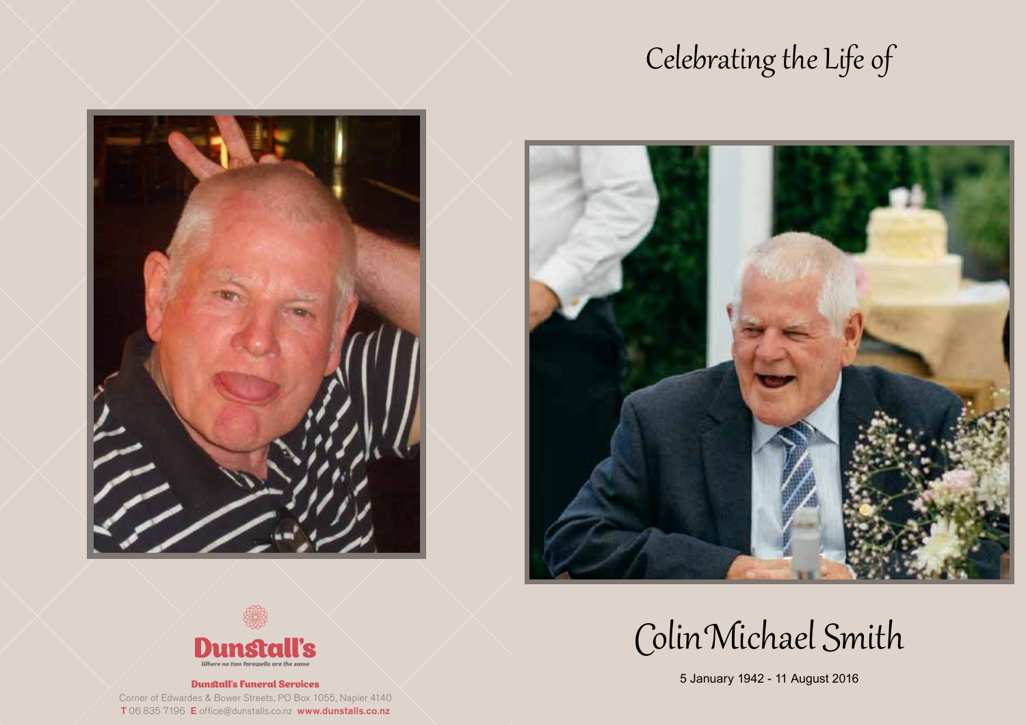## Celebrating the Life of







#### Dunstall's Funeral Services

Corner of Edwardes & Bower Streets, PO Box 1055, Napier 4140 T 06 835 7196 E office@dunstalls.co.nz www.dunstalls.co.nz

# Colin Michael Smith

5 January 1942 - 11 August 2016